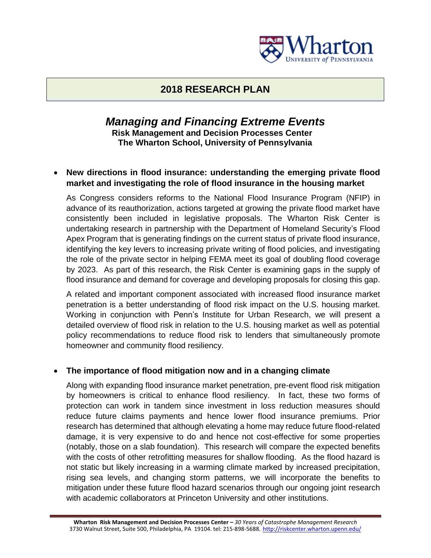

# **2018 RESEARCH PLAN**

# *Managing and Financing Extreme Events* **Risk Management and Decision Processes Center The Wharton School, University of Pennsylvania**

### **New directions in flood insurance: understanding the emerging private flood market and investigating the role of flood insurance in the housing market**

As Congress considers reforms to the National Flood Insurance Program (NFIP) in advance of its reauthorization, actions targeted at growing the private flood market have consistently been included in legislative proposals. The Wharton Risk Center is undertaking research in partnership with the Department of Homeland Security's Flood Apex Program that is generating findings on the current status of private flood insurance, identifying the key levers to increasing private writing of flood policies, and investigating the role of the private sector in helping FEMA meet its goal of doubling flood coverage by 2023. As part of this research, the Risk Center is examining gaps in the supply of flood insurance and demand for coverage and developing proposals for closing this gap.

A related and important component associated with increased flood insurance market penetration is a better understanding of flood risk impact on the U.S. housing market. Working in conjunction with Penn's Institute for Urban Research, we will present a detailed overview of flood risk in relation to the U.S. housing market as well as potential policy recommendations to reduce flood risk to lenders that simultaneously promote homeowner and community flood resiliency.

#### **The importance of flood mitigation now and in a changing climate**

Along with expanding flood insurance market penetration, pre-event flood risk mitigation by homeowners is critical to enhance flood resiliency. In fact, these two forms of protection can work in tandem since investment in loss reduction measures should reduce future claims payments and hence lower flood insurance premiums. Prior research has determined that although elevating a home may reduce future flood-related damage, it is very expensive to do and hence not cost-effective for some properties (notably, those on a slab foundation). This research will compare the expected benefits with the costs of other retrofitting measures for shallow flooding. As the flood hazard is not static but likely increasing in a warming climate marked by increased precipitation, rising sea levels, and changing storm patterns, we will incorporate the benefits to mitigation under these future flood hazard scenarios through our ongoing joint research with academic collaborators at Princeton University and other institutions.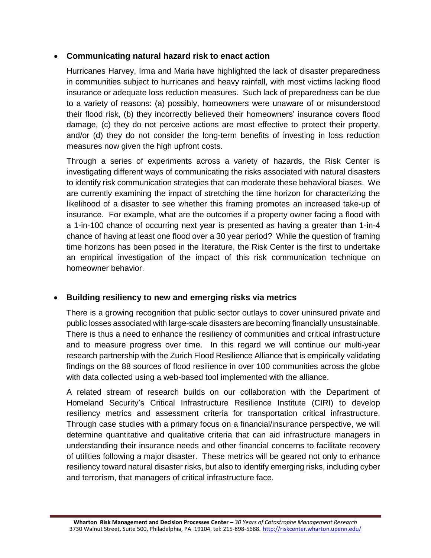### **Communicating natural hazard risk to enact action**

Hurricanes Harvey, Irma and Maria have highlighted the lack of disaster preparedness in communities subject to hurricanes and heavy rainfall, with most victims lacking flood insurance or adequate loss reduction measures. Such lack of preparedness can be due to a variety of reasons: (a) possibly, homeowners were unaware of or misunderstood their flood risk, (b) they incorrectly believed their homeowners' insurance covers flood damage, (c) they do not perceive actions are most effective to protect their property, and/or (d) they do not consider the long-term benefits of investing in loss reduction measures now given the high upfront costs.

Through a series of experiments across a variety of hazards, the Risk Center is investigating different ways of communicating the risks associated with natural disasters to identify risk communication strategies that can moderate these behavioral biases. We are currently examining the impact of stretching the time horizon for characterizing the likelihood of a disaster to see whether this framing promotes an increased take-up of insurance. For example, what are the outcomes if a property owner facing a flood with a 1-in-100 chance of occurring next year is presented as having a greater than 1-in-4 chance of having at least one flood over a 30 year period? While the question of framing time horizons has been posed in the literature, the Risk Center is the first to undertake an empirical investigation of the impact of this risk communication technique on homeowner behavior.

# **Building resiliency to new and emerging risks via metrics**

There is a growing recognition that public sector outlays to cover uninsured private and public losses associated with large-scale disasters are becoming financially unsustainable. There is thus a need to enhance the resiliency of communities and critical infrastructure and to measure progress over time. In this regard we will continue our multi-year research partnership with the Zurich Flood Resilience Alliance that is empirically validating findings on the 88 sources of flood resilience in over 100 communities across the globe with data collected using a web-based tool implemented with the alliance.

A related stream of research builds on our collaboration with the Department of Homeland Security's Critical Infrastructure Resilience Institute (CIRI) to develop resiliency metrics and assessment criteria for transportation critical infrastructure. Through case studies with a primary focus on a financial/insurance perspective, we will determine quantitative and qualitative criteria that can aid infrastructure managers in understanding their insurance needs and other financial concerns to facilitate recovery of utilities following a major disaster. These metrics will be geared not only to enhance resiliency toward natural disaster risks, but also to identify emerging risks, including cyber and terrorism, that managers of critical infrastructure face.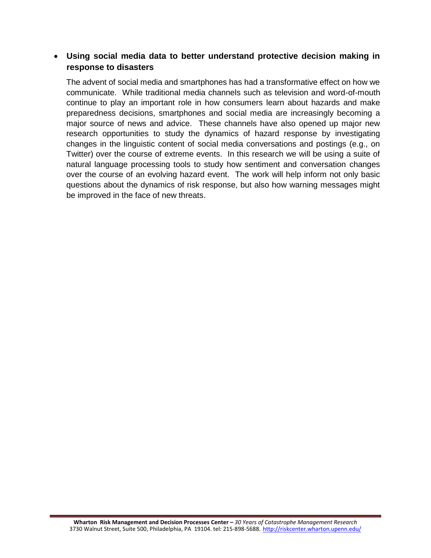# **Using social media data to better understand protective decision making in response to disasters**

The advent of social media and smartphones has had a transformative effect on how we communicate. While traditional media channels such as television and word-of-mouth continue to play an important role in how consumers learn about hazards and make preparedness decisions, smartphones and social media are increasingly becoming a major source of news and advice. These channels have also opened up major new research opportunities to study the dynamics of hazard response by investigating changes in the linguistic content of social media conversations and postings (e.g., on Twitter) over the course of extreme events. In this research we will be using a suite of natural language processing tools to study how sentiment and conversation changes over the course of an evolving hazard event. The work will help inform not only basic questions about the dynamics of risk response, but also how warning messages might be improved in the face of new threats.